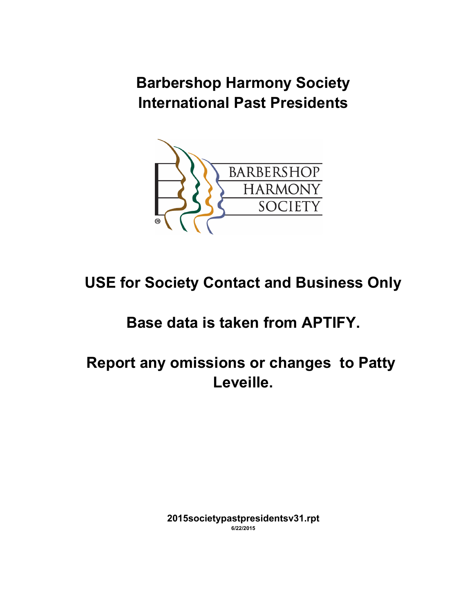**Barbershop Harmony Society International Past Presidents**



# **USE for Society Contact and Business Only**

## **Base data is taken from APTIFY.**

**Report any omissions or changes to Patty Leveille.**

> **2015societypastpresidentsv31.rpt 6/22/2015**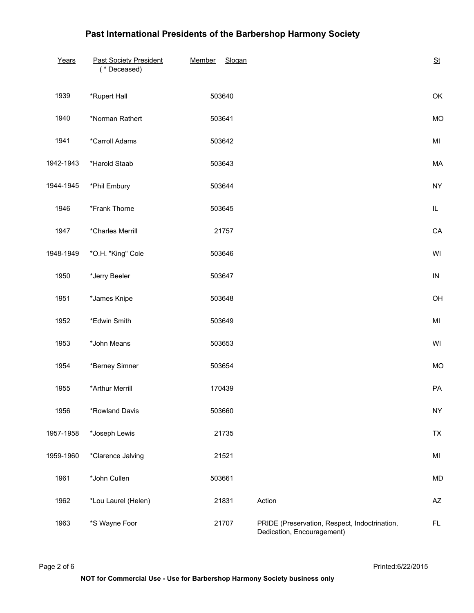| Years     | <b>Past Society President</b><br>(* Deceased) | Member<br>Slogan |                                                                             | St                     |
|-----------|-----------------------------------------------|------------------|-----------------------------------------------------------------------------|------------------------|
| 1939      | *Rupert Hall                                  | 503640           |                                                                             | OK                     |
| 1940      | *Norman Rathert                               | 503641           |                                                                             | <b>MO</b>              |
| 1941      | *Carroll Adams                                | 503642           |                                                                             | MI                     |
| 1942-1943 | *Harold Staab                                 | 503643           |                                                                             | MA                     |
| 1944-1945 | *Phil Embury                                  | 503644           |                                                                             | <b>NY</b>              |
| 1946      | *Frank Thorne                                 | 503645           |                                                                             | IL.                    |
| 1947      | *Charles Merrill                              | 21757            |                                                                             | CA                     |
| 1948-1949 | *O.H. "King" Cole                             | 503646           |                                                                             | WI                     |
| 1950      | *Jerry Beeler                                 | 503647           |                                                                             | ${\sf IN}$             |
| 1951      | *James Knipe                                  | 503648           |                                                                             | OH                     |
| 1952      | *Edwin Smith                                  | 503649           |                                                                             | MI                     |
| 1953      | *John Means                                   | 503653           |                                                                             | WI                     |
| 1954      | *Berney Simner                                | 503654           |                                                                             | <b>MO</b>              |
| 1955      | *Arthur Merrill                               | 170439           |                                                                             | PA                     |
| 1956      | *Rowland Davis                                | 503660           |                                                                             | <b>NY</b>              |
| 1957-1958 | *Joseph Lewis                                 | 21735            |                                                                             | TX                     |
| 1959-1960 | *Clarence Jalving                             | 21521            |                                                                             | MI                     |
| 1961      | *John Cullen                                  | 503661           |                                                                             | <b>MD</b>              |
| 1962      | *Lou Laurel (Helen)                           | 21831            | Action                                                                      | $\mathsf{A}\mathsf{Z}$ |
| 1963      | *S Wayne Foor                                 | 21707            | PRIDE (Preservation, Respect, Indoctrination,<br>Dedication, Encouragement) | FL.                    |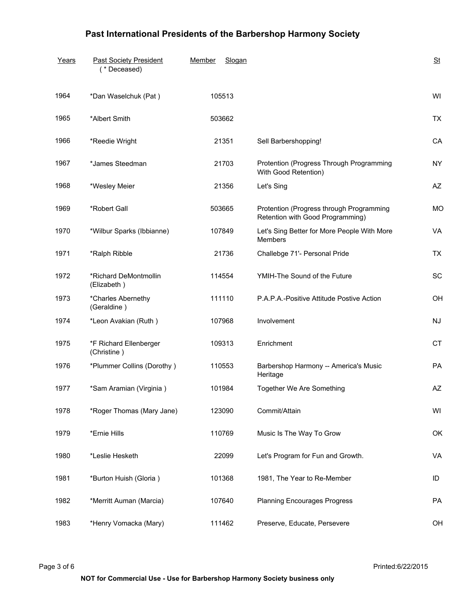| Years | <b>Past Society President</b><br>(* Deceased) | Member<br>Slogan |                                                                              | St        |
|-------|-----------------------------------------------|------------------|------------------------------------------------------------------------------|-----------|
| 1964  | *Dan Waselchuk (Pat)                          | 105513           |                                                                              | WI        |
| 1965  | *Albert Smith                                 | 503662           |                                                                              | <b>TX</b> |
| 1966  | *Reedie Wright                                | 21351            | Sell Barbershopping!                                                         | CA        |
| 1967  | *James Steedman                               | 21703            | Protention (Progress Through Programming<br>With Good Retention)             | <b>NY</b> |
| 1968  | *Wesley Meier                                 | 21356            | Let's Sing                                                                   | <b>AZ</b> |
| 1969  | *Robert Gall                                  | 503665           | Protention (Progress through Programming<br>Retention with Good Programming) | <b>MO</b> |
| 1970  | *Wilbur Sparks (Ibbianne)                     | 107849           | Let's Sing Better for More People With More<br><b>Members</b>                | VA        |
| 1971  | *Ralph Ribble                                 | 21736            | Challebge 71'- Personal Pride                                                | <b>TX</b> |
| 1972  | *Richard DeMontmollin<br>(Elizabeth)          | 114554           | YMIH-The Sound of the Future                                                 | <b>SC</b> |
| 1973  | *Charles Abernethy<br>(Geraldine)             | 111110           | P.A.P.A.-Positive Attitude Postive Action                                    | OH        |
| 1974  | *Leon Avakian (Ruth)                          | 107968           | Involvement                                                                  | <b>NJ</b> |
| 1975  | *F Richard Ellenberger<br>(Christine)         | 109313           | Enrichment                                                                   | <b>CT</b> |
| 1976  | *Plummer Collins (Dorothy)                    | 110553           | Barbershop Harmony -- America's Music<br>Heritage                            | <b>PA</b> |
| 1977  | *Sam Aramian (Virginia)                       | 101984           | Together We Are Something                                                    | AZ        |
| 1978  | *Roger Thomas (Mary Jane)                     | 123090           | Commit/Attain                                                                | WI        |
| 1979  | *Ernie Hills                                  | 110769           | Music Is The Way To Grow                                                     | OK        |
| 1980  | *Leslie Hesketh                               | 22099            | Let's Program for Fun and Growth.                                            | VA        |
| 1981  | *Burton Huish (Gloria)                        | 101368           | 1981, The Year to Re-Member                                                  | ID        |
| 1982  | *Merritt Auman (Marcia)                       | 107640           | <b>Planning Encourages Progress</b>                                          | PA        |
| 1983  | *Henry Vomacka (Mary)                         | 111462           | Preserve, Educate, Persevere                                                 | OH        |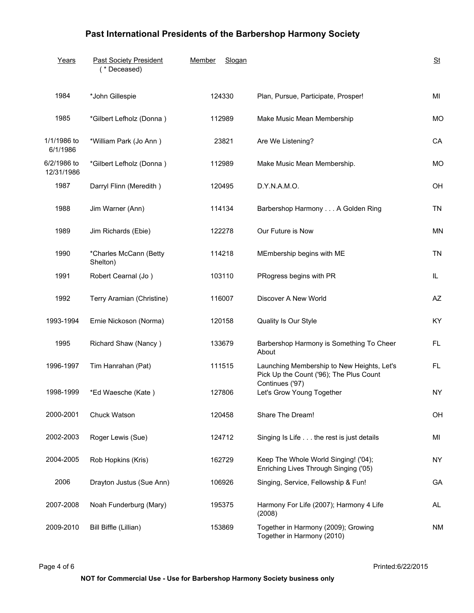| Years                     | <b>Past Society President</b><br>(* Deceased) | Member<br>Slogan |                                                                                       | St        |
|---------------------------|-----------------------------------------------|------------------|---------------------------------------------------------------------------------------|-----------|
| 1984                      | *John Gillespie                               | 124330           | Plan, Pursue, Participate, Prosper!                                                   | MI        |
| 1985                      | *Gilbert Lefholz (Donna)                      | 112989           | Make Music Mean Membership                                                            | <b>MO</b> |
| 1/1/1986 to<br>6/1/1986   | *William Park (Jo Ann)                        | 23821            | Are We Listening?                                                                     | CA        |
| 6/2/1986 to<br>12/31/1986 | *Gilbert Lefholz (Donna)                      | 112989           | Make Music Mean Membership.                                                           | <b>MO</b> |
| 1987                      | Darryl Flinn (Meredith)                       | 120495           | D.Y.N.A.M.O.                                                                          | OH        |
| 1988                      | Jim Warner (Ann)                              | 114134           | Barbershop Harmony A Golden Ring                                                      | <b>TN</b> |
| 1989                      | Jim Richards (Ebie)                           | 122278           | Our Future is Now                                                                     | <b>MN</b> |
| 1990                      | *Charles McCann (Betty<br>Shelton)            | 114218           | MEmbership begins with ME                                                             | <b>TN</b> |
| 1991                      | Robert Cearnal (Jo)                           | 103110           | PRogress begins with PR                                                               | IL.       |
| 1992                      | Terry Aramian (Christine)                     | 116007           | Discover A New World                                                                  | AZ        |
| 1993-1994                 | Ernie Nickoson (Norma)                        | 120158           | Quality Is Our Style                                                                  | KY        |
| 1995                      | Richard Shaw (Nancy)                          | 133679           | Barbershop Harmony is Something To Cheer<br>About                                     | FL.       |
| 1996-1997                 | Tim Hanrahan (Pat)                            | 111515           | Launching Membership to New Heights, Let's<br>Pick Up the Count ('96); The Plus Count | FL.       |
| 1998-1999                 | *Ed Waesche (Kate)                            | 127806           | Continues ('97)<br>Let's Grow Young Together                                          | <b>NY</b> |
| 2000-2001                 | Chuck Watson                                  | 120458           | Share The Dream!                                                                      | OH        |
| 2002-2003                 | Roger Lewis (Sue)                             | 124712           | Singing Is Life the rest is just details                                              | MI        |
| 2004-2005                 | Rob Hopkins (Kris)                            | 162729           | Keep The Whole World Singing! ('04);<br>Enriching Lives Through Singing ('05)         | <b>NY</b> |
| 2006                      | Drayton Justus (Sue Ann)                      | 106926           | Singing, Service, Fellowship & Fun!                                                   | GA        |
| 2007-2008                 | Noah Funderburg (Mary)                        | 195375           | Harmony For Life (2007); Harmony 4 Life<br>(2008)                                     | AL        |
| 2009-2010                 | Bill Biffle (Lillian)                         | 153869           | Together in Harmony (2009); Growing<br>Together in Harmony (2010)                     | <b>NM</b> |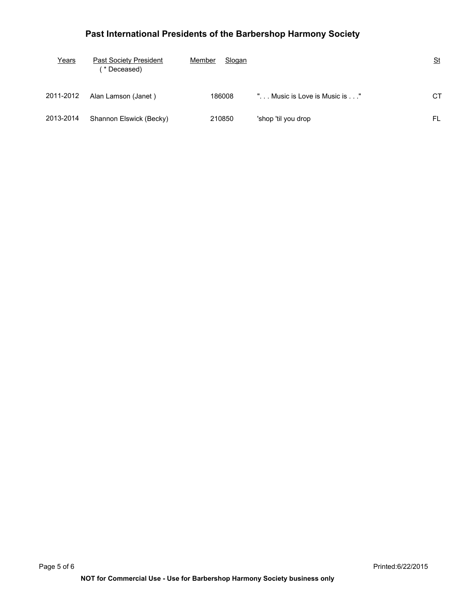| Years     | Past Society President<br><b>b</b> Deceased) | Member<br>Slogan |                            | $\underline{\mathsf{St}}$ |
|-----------|----------------------------------------------|------------------|----------------------------|---------------------------|
| 2011-2012 | Alan Lamson (Janet)                          | 186008           | Music is Love is Music is" | <b>CT</b>                 |
| 2013-2014 | Shannon Elswick (Becky)                      | 210850           | 'shop 'til you drop        | FL                        |